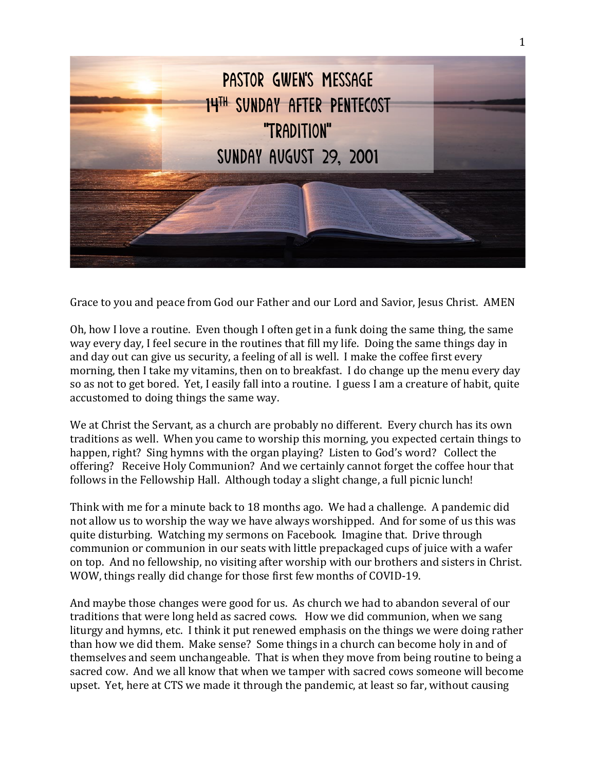

Grace to you and peace from God our Father and our Lord and Savior, Jesus Christ. AMEN

Oh, how I love a routine. Even though I often get in a funk doing the same thing, the same way every day, I feel secure in the routines that fill my life. Doing the same things day in and day out can give us security, a feeling of all is well. I make the coffee first every morning, then I take my vitamins, then on to breakfast. I do change up the menu every day so as not to get bored. Yet, I easily fall into a routine. I guess I am a creature of habit, quite accustomed to doing things the same way.

We at Christ the Servant, as a church are probably no different. Every church has its own traditions as well. When you came to worship this morning, you expected certain things to happen, right? Sing hymns with the organ playing? Listen to God's word? Collect the offering? Receive Holy Communion? And we certainly cannot forget the coffee hour that follows in the Fellowship Hall. Although today a slight change, a full picnic lunch!

Think with me for a minute back to 18 months ago. We had a challenge. A pandemic did not allow us to worship the way we have always worshipped. And for some of us this was quite disturbing. Watching my sermons on Facebook. Imagine that. Drive through communion or communion in our seats with little prepackaged cups of juice with a wafer on top. And no fellowship, no visiting after worship with our brothers and sisters in Christ. WOW, things really did change for those first few months of COVID-19.

And maybe those changes were good for us. As church we had to abandon several of our traditions that were long held as sacred cows. How we did communion, when we sang liturgy and hymns, etc. I think it put renewed emphasis on the things we were doing rather than how we did them. Make sense? Some things in a church can become holy in and of themselves and seem unchangeable. That is when they move from being routine to being a sacred cow. And we all know that when we tamper with sacred cows someone will become upset. Yet, here at CTS we made it through the pandemic, at least so far, without causing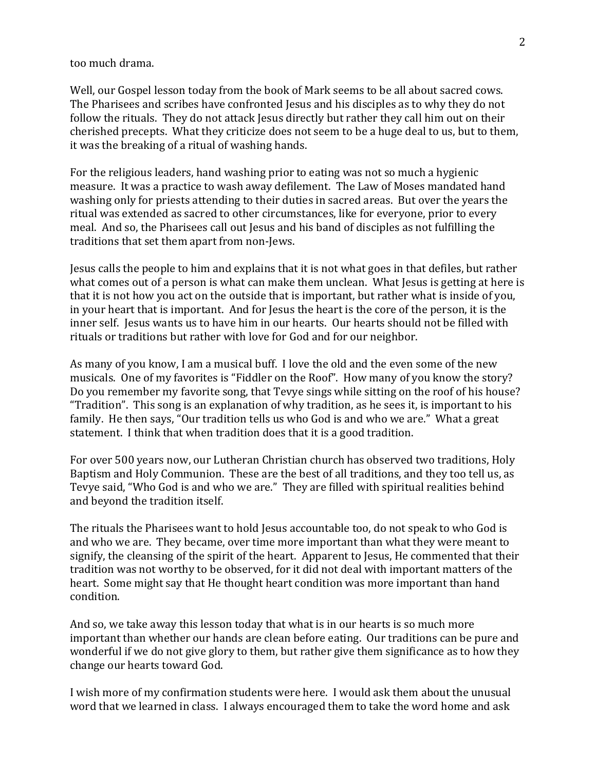too much drama.

Well, our Gospel lesson today from the book of Mark seems to be all about sacred cows. The Pharisees and scribes have confronted Jesus and his disciples as to why they do not follow the rituals. They do not attack Jesus directly but rather they call him out on their cherished precepts. What they criticize does not seem to be a huge deal to us, but to them, it was the breaking of a ritual of washing hands.

For the religious leaders, hand washing prior to eating was not so much a hygienic measure. It was a practice to wash away defilement. The Law of Moses mandated hand washing only for priests attending to their duties in sacred areas. But over the years the ritual was extended as sacred to other circumstances, like for everyone, prior to every meal. And so, the Pharisees call out Jesus and his band of disciples as not fulfilling the traditions that set them apart from non-Jews.

Jesus calls the people to him and explains that it is not what goes in that defiles, but rather what comes out of a person is what can make them unclean. What Jesus is getting at here is that it is not how you act on the outside that is important, but rather what is inside of you, in your heart that is important. And for Jesus the heart is the core of the person, it is the inner self. Jesus wants us to have him in our hearts. Our hearts should not be filled with rituals or traditions but rather with love for God and for our neighbor.

As many of you know, I am a musical buff. I love the old and the even some of the new musicals. One of my favorites is "Fiddler on the Roof". How many of you know the story? Do you remember my favorite song, that Tevye sings while sitting on the roof of his house? "Tradition". This song is an explanation of why tradition, as he sees it, is important to his family. He then says, "Our tradition tells us who God is and who we are." What a great statement. I think that when tradition does that it is a good tradition.

For over 500 years now, our Lutheran Christian church has observed two traditions, Holy Baptism and Holy Communion. These are the best of all traditions, and they too tell us, as Tevye said, "Who God is and who we are." They are filled with spiritual realities behind and beyond the tradition itself.

The rituals the Pharisees want to hold Jesus accountable too, do not speak to who God is and who we are. They became, over time more important than what they were meant to signify, the cleansing of the spirit of the heart. Apparent to Jesus, He commented that their tradition was not worthy to be observed, for it did not deal with important matters of the heart. Some might say that He thought heart condition was more important than hand condition.

And so, we take away this lesson today that what is in our hearts is so much more important than whether our hands are clean before eating. Our traditions can be pure and wonderful if we do not give glory to them, but rather give them significance as to how they change our hearts toward God.

I wish more of my confirmation students were here. I would ask them about the unusual word that we learned in class. I always encouraged them to take the word home and ask